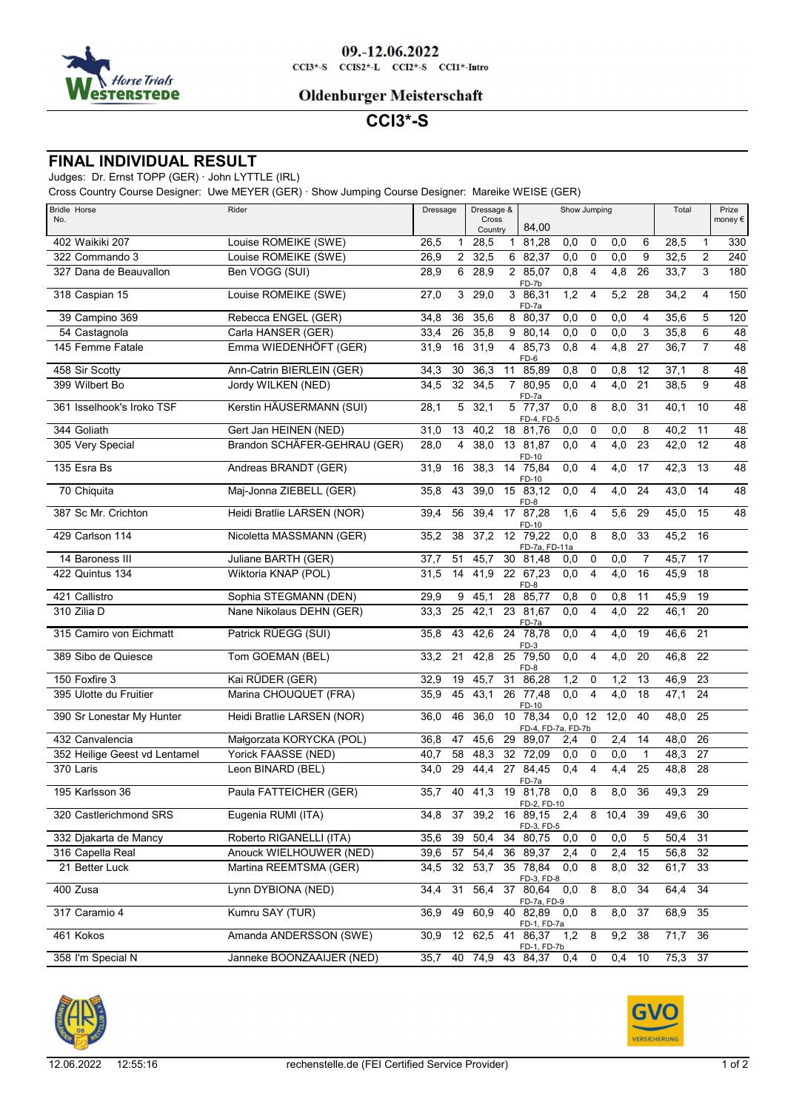

### 09.-12.06.2022  $CCI3*-S$   $CCI52*-L$   $CCI2*-S$   $CCI1*-Intro$

### **Oldenburger Meisterschaft**

# **CCI3\*-S**

### **FINAL INDIVIDUAL RESULT**

## Judges: Dr. Ernst TOPP (GER) · John LYTTLE (IRL)

Cross Country Course Designer: Uwe MEYER (GER) · Show Jumping Course Designer: Mareike WEISE (GER)

| <b>Bridle Horse</b><br>No.    | Rider                        | Dressage                |                | Dressage &<br>Cross |              | Show Jumping                   |                  |                |                  | Total          | Prize<br>money $\epsilon$ |                 |                 |
|-------------------------------|------------------------------|-------------------------|----------------|---------------------|--------------|--------------------------------|------------------|----------------|------------------|----------------|---------------------------|-----------------|-----------------|
|                               |                              |                         |                | Country             |              | 84,00                          |                  |                |                  |                |                           |                 |                 |
| 402 Waikiki 207               | Louise ROMEIKE (SWE)         | 26,5<br>$\mathbf{1}$    |                | 28,5                | $\mathbf{1}$ | 81,28                          | 0,0              | 0              | 0,0              | 6              | 28,5                      | $\mathbf{1}$    | 330             |
| 322 Commando 3                | Louise ROMEIKE (SWE)         | 26,9                    | $\overline{2}$ | 32,5                |              | 6 82,37                        | 0,0              | $\mathbf 0$    | 0,0              | 9              | 32,5                      | $\overline{c}$  | 240             |
| 327 Dana de Beauvallon        | Ben VOGG (SUI)               | $6 \overline{}$<br>28,9 |                | 28,9                |              | 2 85,07<br>FD-7b               | 0,8              | $\overline{4}$ | 4,8              | 26             | 33,7                      | 3               | 180             |
| 318 Caspian 15                | Louise ROMEIKE (SWE)         | 27,0<br>3               |                | 29,0                |              | 3 86,31<br>FD-7a               | 1,2              | $\overline{4}$ | 5,2              | 28             | 34,2                      | 4               | 150             |
| 39 Campino 369                | Rebecca ENGEL (GER)          | 36<br>34,8              |                | 35,6                | 8            | 80,37                          | $\overline{0,0}$ | 0              | 0,0              | 4              | 35,6                      | 5               | 120             |
| 54 Castagnola                 | Carla HANSER (GER)           | 33,4<br>26              |                | 35,8                |              | 9 80,14                        | $\overline{0,0}$ | 0              | 0,0              | 3              | 35,8                      | $\overline{6}$  | 48              |
| 145 Femme Fatale              | Emma WIEDENHÖFT (GER)        | 16<br>31,9              |                | 31,9                | 4            | 85.73<br>FD-6                  | 0,8              | $\overline{4}$ | $\overline{4,8}$ | 27             | 36,7                      | $\overline{7}$  | 48              |
| 458 Sir Scotty                | Ann-Catrin BIERLEIN (GER)    | 34,3<br>30              |                | 36,3                | 11           | 85,89                          | 0,8              | 0              | 0,8              | 12             | 37,1                      | 8               | 48              |
| 399 Wilbert Bo                | Jordy WILKEN (NED)           | 32<br>34,5              |                | 34.5                |              | 780,95<br>FD-7a                | 0,0              | $\overline{4}$ | 4,0              | 21             | 38,5                      | 9               | 48              |
| 361 Isselhook's Iroko TSF     | Kerstin HÄUSERMANN (SUI)     | 28,1                    | 5              | 32,1                |              | 5 77,37<br>FD-4, FD-5          | 0,0              | 8              | 8,0              | 31             | 40,1                      | 10              | $\overline{48}$ |
| 344 Goliath                   | Gert Jan HEINEN (NED)        | 31,0<br>13              |                | 40,2                |              | 18 81,76                       | 0,0              | 0              | 0,0              | 8              | 40,2                      | 11              | 48              |
| 305 Very Special              | Brandon SCHÄFER-GEHRAU (GER) | 28,0<br>4               |                | 38,0                |              | 13 81,87<br>FD-10              | 0,0              | $\overline{4}$ | $\overline{4,0}$ | 23             | 42,0                      | 12              | $\overline{48}$ |
| 135 Esra Bs                   | Andreas BRANDT (GER)         | 16<br>31,9              |                | 38,3                |              | 14 75,84<br>FD-10              | 0,0              | $\overline{4}$ | 4,0              | 17             | 42,3                      | 13              | 48              |
| 70 Chiquita                   | Maj-Jonna ZIEBELL (GER)      | 35,8<br>43              |                | 39,0                |              | 15 83,12<br>FD-8               | 0,0              | $\overline{4}$ | 4,0              | 24             | 43,0                      | 14              | $\overline{48}$ |
| 387 Sc Mr. Crichton           | Heidi Bratlie LARSEN (NOR)   | 56<br>39,4              |                | 39.4                |              | 17 87,28<br>FD-10              | 1,6              | $\overline{4}$ | 5,6              | 29             | 45,0                      | 15              | 48              |
| 429 Carlson 114               | Nicoletta MASSMANN (GER)     | 35,2<br>$\overline{38}$ |                | 37.2                |              | 12 79,22<br>FD-7a, FD-11a      | 0,0              | 8              | 8,0              | 33             | 45,2                      | 16              |                 |
| 14 Baroness III               | Juliane BARTH (GER)          | 37,7<br>51              |                | 45,7                |              | 30 81,48                       | 0,0              | $\pmb{0}$      | $\overline{0,0}$ | $\overline{7}$ | 45,7                      | 17              |                 |
| 422 Quintus 134               | Wiktoria KNAP (POL)          | 14<br>31,5              |                | 41,9                |              | 22 67,23<br>FD-8               | 0,0              | $\overline{4}$ | 4,0              | 16             | 45,9                      | 18              |                 |
| 421 Callistro                 | Sophia STEGMANN (DEN)        | 29,9<br>9               |                | 45,1                | 28           | 85,77                          | 0,8              | 0              | 0,8              | 11             | 45,9                      | 19              |                 |
| 310 Zilia D                   | Nane Nikolaus DEHN (GER)     | 33,3<br>25              |                | 42,1                |              | 23 81,67<br>FD-7a              | 0,0              | $\overline{4}$ | 4,0              | 22             | 46,1                      | 20              |                 |
| 315 Camiro von Eichmatt       | Patrick RÜEGG (SUI)          | 35,8<br>43              |                | 42,6                |              | 24 78,78<br>FD-3               | 0,0              | $\overline{4}$ | 4,0              | 19             | 46,6                      | 21              |                 |
| 389 Sibo de Quiesce           | Tom GOEMAN (BEL)             | 33,2<br>21              |                | 42,8                |              | 25 79,50<br>FD-8               | 0,0              | $\overline{4}$ | 4,0              | 20             | 46,8                      | 22              |                 |
| 150 Foxfire 3                 | Kai RÜDER (GER)              | 32,9<br>19              |                | 45.7                | 31           | 86,28                          | 1,2              | 0              | 1,2              | 13             | 46,9                      | $\overline{23}$ |                 |
| 395 Ulotte du Fruitier        | Marina CHOUQUET (FRA)        | 45<br>35,9              |                | 43,1                |              | 26 77,48<br>FD-10              | 0,0              | $\overline{4}$ | 4,0              | 18             | 47,1                      | 24              |                 |
| 390 Sr Lonestar My Hunter     | Heidi Bratlie LARSEN (NOR)   | 46<br>36,0              |                | 36.0                |              | 10 78,34<br>FD-4, FD-7a, FD-7b | $0,0$ 12         |                | 12,0             | 40             | 48,0                      | 25              |                 |
| 432 Canvalencia               | Małgorzata KORYCKA (POL)     | 36,8<br>47              |                | 45,6                |              | 29 89,07                       | 2,4              | $\mathbf 0$    | 2,4              | 14             | 48,0                      | 26              |                 |
| 352 Heilige Geest vd Lentamel | Yorick FAASSE (NED)          | 58<br>40,7              |                | 48,3                | 32           | 72,09                          | 0,0              | 0              | 0,0              | $\mathbf{1}$   | 48,3                      | 27              |                 |
| 370 Laris                     | Leon BINARD (BEL)            | 29<br>34,0              |                | 44,4                |              | 27 84,45<br>FD-7a              | 0,4              | $\overline{4}$ | 4,4              | 25             | 48,8                      | 28              |                 |
| 195 Karlsson 36               | Paula FATTEICHER (GER)       | 35.7<br>40              |                | 41,3                |              | 19 81,78<br>FD-2, FD-10        | 0,0              | 8              | 8,0              | 36             | 49,3                      | 29              |                 |
| 320 Castlerichmond SRS        | Eugenia RUMI (ITA)           | 37<br>34,8              |                | 39,2                |              | 16 89,15<br>FD-3, FD-5         | 2,4              | 8              | 10,4             | 39             | 49,6                      | 30              |                 |
| 332 Djakarta de Mancy         | Roberto RIGANELLI (ITA)      | 39<br>35,6              |                | 50,4                |              | 34 80,75                       | 0,0              | 0              | 0,0              | 5              | 50,4                      | $\overline{31}$ |                 |
| 316 Capella Real              | Anouck WIELHOUWER (NED)      | 57<br>39,6              |                | 54,4                |              | 36 89,37                       | 2,4              | 0              | 2,4              | 15             | 56,8                      | 32              |                 |
| 21 Better Luck                | Martina REEMTSMA (GER)       | 32<br>34,5              |                | 53,7                |              | 35 78,84<br>FD-3, FD-8         | 0,0              | 8              | 8,0              | 32             | 61,7                      | 33              |                 |
| 400 Zusa                      | Lynn DYBIONA (NED)           | 31<br>34,4              |                | 56,4                |              | 37 80,64<br>FD-7a, FD-9        | 0,0              | $\overline{8}$ | 8,0              | 34             | 64,4                      | 34              |                 |
| 317 Caramio 4                 | Kumru SAY (TUR)              | 49<br>36,9              |                | 60,9                |              | 40 82,89 0,0<br>FD-1, FD-7a    |                  | 8              | 8,0              | 37             | 68,9                      | 35              |                 |
| 461 Kokos                     | Amanda ANDERSSON (SWE)       | 30,9<br>12              |                |                     |              | 62,5 41 86,37<br>FD-1, FD-7b   | 1,2              | 8              | 9,2              | 38             | 71,7 36                   |                 |                 |
| 358 I'm Special N             | Janneke BOONZAAIJER (NED)    | 35,7                    |                |                     |              | 40 74,9 43 84,37               | 0,4              | 0              |                  | $0,4$ 10       | 75,3 37                   |                 |                 |